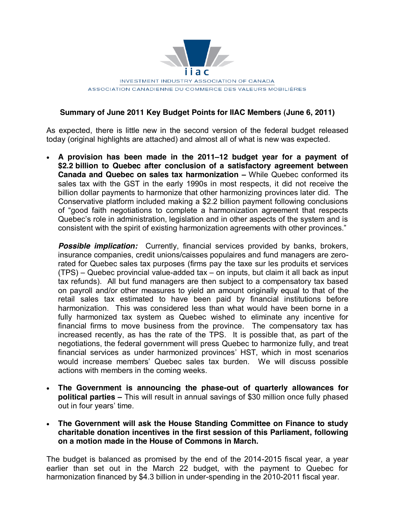

## **Summary of June 2011 Key Budget Points for IIAC Members (June 6, 2011)**

As expected, there is little new in the second version of the federal budget released today (original highlights are attached) and almost all of what is new was expected.

x **A provision has been made in the 2011±12 budget year for a payment of \$2.2 billion to Quebec after conclusion of a satisfactory agreement between Canada and Quebec on sales tax harmonization – While Quebec conformed its** sales tax with the GST in the early 1990s in most respects, it did not receive the billion dollar payments to harmonize that other harmonizing provinces later did. The Conservative platform included making a \$2.2 billion payment following conclusions of "good faith negotiations to complete a harmonization agreement that respects Quebec's role in administration, legislation and in other aspects of the system and is consistent with the spirit of existing harmonization agreements with other provinces."

**Possible implication:** Currently, financial services provided by banks, brokers, insurance companies, credit unions/caisses populaires and fund managers are zerorated for Quebec sales tax purposes (firms pay the taxe sur les produits et services  $(TPS)$  – Quebec provincial value-added tax – on inputs, but claim it all back as input tax refunds). All but fund managers are then subject to a compensatory tax based on payroll and/or other measures to yield an amount originally equal to that of the retail sales tax estimated to have been paid by financial institutions before harmonization. This was considered less than what would have been borne in a fully harmonized tax system as Quebec wished to eliminate any incentive for financial firms to move business from the province. The compensatory tax has increased recently, as has the rate of the TPS. It is possible that, as part of the negotiations, the federal government will press Quebec to harmonize fully, and treat financial services as under harmonized provinces' HST, which in most scenarios would increase members' Quebec sales tax burden. We will discuss possible actions with members in the coming weeks.

- x **The Government is announcing the phase-out of quarterly allowances for political parties –** This will result in annual savings of \$30 million once fully phased out in four years' time.
- x **The Government will ask the House Standing Committee on Finance to study charitable donation incentives in the first session of this Parliament, following on a motion made in the House of Commons in March.**

The budget is balanced as promised by the end of the 2014-2015 fiscal year, a year earlier than set out in the March 22 budget, with the payment to Quebec for harmonization financed by \$4.3 billion in under-spending in the 2010-2011 fiscal year.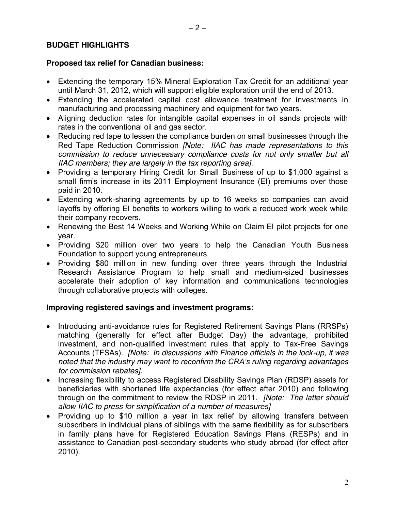## **BUDGET HIGHLIGHTS**

#### **Proposed tax relief for Canadian business:**

- Extending the temporary 15% Mineral Exploration Tax Credit for an additional year until March 31, 2012, which will support eligible exploration until the end of 2013.
- Extending the accelerated capital cost allowance treatment for investments in manufacturing and processing machinery and equipment for two years.
- Aligning deduction rates for intangible capital expenses in oil sands projects with rates in the conventional oil and gas sector.
- Reducing red tape to lessen the compliance burden on small businesses through the Red Tape Reduction Commission *[Note: IIAC has made representations to this commission to reduce unnecessary compliance costs for not only smaller but all IIAC members; they are largely in the tax reporting area]*.
- Providing a temporary Hiring Credit for Small Business of up to \$1,000 against a small firm's increase in its 2011 Employment Insurance (EI) premiums over those paid in 2010.
- Extending work-sharing agreements by up to 16 weeks so companies can avoid layoffs by offering EI benefits to workers willing to work a reduced work week while their company recovers.
- Renewing the Best 14 Weeks and Working While on Claim EI pilot projects for one year.
- Providing \$20 million over two years to help the Canadian Youth Business Foundation to support young entrepreneurs.
- Providing \$80 million in new funding over three years through the Industrial Research Assistance Program to help small and medium-sized businesses accelerate their adoption of key information and communications technologies through collaborative projects with colleges.

#### **Improving registered savings and investment programs:**

- Introducing anti-avoidance rules for Registered Retirement Savings Plans (RRSPs) matching (generally for effect after Budget Day) the advantage, prohibited investment, and non-qualified investment rules that apply to Tax-Free Savings Accounts (TFSAs). *[Note: In discussions with Finance officials in the lock-up, it was noted that the industry may want to reconfirm the CRA's ruling regarding advantages for commission rebates].*
- Increasing flexibility to access Registered Disability Savings Plan (RDSP) assets for beneficiaries with shortened life expectancies (for effect after 2010) and following through on the commitment to review the RDSP in 2011. *[Note: The latter should allow IIAC to press for simplification of a number of measures]*
- x Providing up to \$10 million a year in tax relief by allowing transfers between subscribers in individual plans of siblings with the same flexibility as for subscribers in family plans have for Registered Education Savings Plans (RESPs) and in assistance to Canadian post-secondary students who study abroad (for effect after 2010).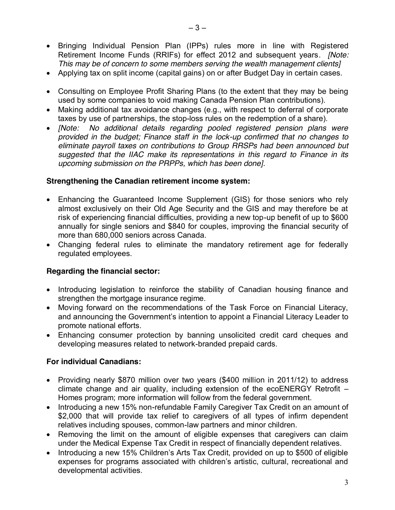- Bringing Individual Pension Plan (IPPs) rules more in line with Registered Retirement Income Funds (RRIFs) for effect 2012 and subsequent years. *[Note: This may be of concern to some members serving the wealth management clients]*
- Applying tax on split income (capital gains) on or after Budget Day in certain cases.
- Consulting on Employee Profit Sharing Plans (to the extent that they may be being used by some companies to void making Canada Pension Plan contributions).
- Making additional tax avoidance changes (e.g., with respect to deferral of corporate taxes by use of partnerships, the stop-loss rules on the redemption of a share).
- x *[Note: No additional details regarding pooled registered pension plans were provided in the budget; Finance staff in the lock-up confirmed that no changes to eliminate payroll taxes on contributions to Group RRSPs had been announced but suggested that the IIAC make its representations in this regard to Finance in its upcoming submission on the PRPPs, which has been done].*

#### **Strengthening the Canadian retirement income system:**

- Enhancing the Guaranteed Income Supplement (GIS) for those seniors who rely almost exclusively on their Old Age Security and the GIS and may therefore be at risk of experiencing financial difficulties, providing a new top-up benefit of up to \$600 annually for single seniors and \$840 for couples, improving the financial security of more than 680,000 seniors across Canada.
- Changing federal rules to eliminate the mandatory retirement age for federally regulated employees.

# **Regarding the financial sector:**

- Introducing legislation to reinforce the stability of Canadian housing finance and strengthen the mortgage insurance regime.
- Moving forward on the recommendations of the Task Force on Financial Literacy, and announcing the Government's intention to appoint a Financial Literacy Leader to promote national efforts.
- Enhancing consumer protection by banning unsolicited credit card cheques and developing measures related to network-branded prepaid cards.

# **For individual Canadians:**

- Providing nearly \$870 million over two years (\$400 million in 2011/12) to address climate change and air quality, including extension of the ecoENERGY Retrofit  $-$ Homes program; more information will follow from the federal government.
- Introducing a new 15% non-refundable Family Caregiver Tax Credit on an amount of \$2,000 that will provide tax relief to caregivers of all types of infirm dependent relatives including spouses, common-law partners and minor children.
- Removing the limit on the amount of eligible expenses that caregivers can claim under the Medical Expense Tax Credit in respect of financially dependent relatives.
- Introducing a new 15% Children's Arts Tax Credit, provided on up to \$500 of eligible expenses for programs associated with children's artistic, cultural, recreational and developmental activities.